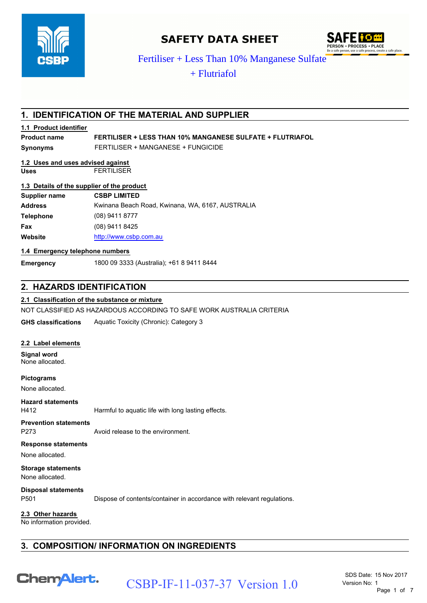

# **SAFETY DATA SHEET**



## **1. IDENTIFICATION OF THE MATERIAL AND SUPPLIER**

#### **1.1 Product identifier**

# **1.2 Uses and uses advised against**

## **1.3 Details of the supplier of the product**

| <b>CSBP</b>                                   | Fertiliser + Less Than 10% Manganese Sulfate                           |
|-----------------------------------------------|------------------------------------------------------------------------|
|                                               | $+$ Flutriafol                                                         |
|                                               |                                                                        |
|                                               |                                                                        |
|                                               | 1. IDENTIFICATION OF THE MATERIAL AND SUPPLIER                         |
| 1.1 Product identifier                        |                                                                        |
| <b>Product name</b>                           | <b>FERTILISER + LESS THAN 10% MANGANESE SULFATE + FLUTRIAFOL</b>       |
| <b>Synonyms</b>                               | FERTILISER + MANGANESE + FUNGICIDE                                     |
| 1.2 Uses and uses advised against             |                                                                        |
| <b>Uses</b>                                   | <b>FERTILISER</b>                                                      |
| 1.3 Details of the supplier of the product    |                                                                        |
| <b>Supplier name</b>                          | <b>CSBP LIMITED</b>                                                    |
| <b>Address</b>                                | Kwinana Beach Road, Kwinana, WA, 6167, AUSTRALIA                       |
| <b>Telephone</b>                              | (08) 9411 8777                                                         |
| Fax                                           | (08) 9411 8425                                                         |
| Website                                       | http://www.csbp.com.au                                                 |
| 1.4 Emergency telephone numbers               |                                                                        |
| <b>Emergency</b>                              | 1800 09 3333 (Australia); +61 8 9411 8444                              |
|                                               |                                                                        |
| 2. HAZARDS IDENTIFICATION                     |                                                                        |
|                                               | 2.1 Classification of the substance or mixture                         |
|                                               | NOT CLASSIFIED AS HAZARDOUS ACCORDING TO SAFE WORK AUSTRALIA CRITERIA  |
| <b>GHS classifications</b>                    | Aquatic Toxicity (Chronic): Category 3                                 |
|                                               |                                                                        |
| 2.2 Label elements                            |                                                                        |
| <b>Signal word</b><br>None allocated.         |                                                                        |
| <b>Pictograms</b>                             |                                                                        |
| None allocated.                               |                                                                        |
| <b>Hazard statements</b>                      |                                                                        |
| H412                                          | Harmful to aquatic life with long lasting effects.                     |
| <b>Prevention statements</b>                  |                                                                        |
| P273                                          | Avoid release to the environment.                                      |
| <b>Response statements</b>                    |                                                                        |
| None allocated.                               |                                                                        |
| <b>Storage statements</b><br>None allocated.  |                                                                        |
| <b>Disposal statements</b><br>P501            | Dispose of contents/container in accordance with relevant regulations. |
| 2.3 Other hazards<br>No information provided. |                                                                        |
|                                               |                                                                        |
|                                               | 3. COMPOSITION/ INFORMATION ON INGREDIENTS                             |
|                                               |                                                                        |
| <b>ChemAlert.</b>                             | SDS Date: 15 Nov 2017                                                  |
|                                               | CSBP-IF-11-037-37 Version 1.0<br>Version No: 1<br>Page 1 of 7          |

#### **1.4 Emergency telephone numbers**

## **2. HAZARDS IDENTIFICATION**

### **2.1 Classification of the substance or mixture**

#### **2.2 Label elements**

## **Response statements**

# **3. COMPOSITION/ INFORMATION ON INGREDIENTS**

# CSBP-IF-11-037-37 Version 1.0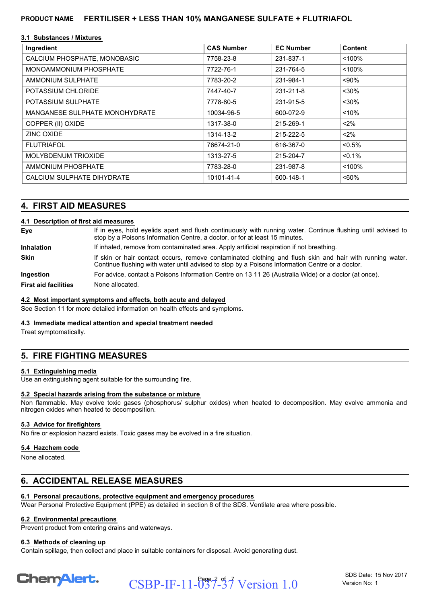#### **3.1 Substances / Mixtures**

| Ingredient                     | <b>CAS Number</b> | <b>EC Number</b> | <b>Content</b> |
|--------------------------------|-------------------|------------------|----------------|
| CALCIUM PHOSPHATE, MONOBASIC   | 7758-23-8         | 231-837-1        | < 100%         |
| MONOAMMONIUM PHOSPHATE         | 7722-76-1         | 231-764-5        | < 100%         |
| AMMONIUM SULPHATE              | 7783-20-2         | 231-984-1        | $< 90\%$       |
| POTASSIUM CHLORIDE             | 7447-40-7         | 231-211-8        | $30%$          |
| POTASSIUM SULPHATE             | 7778-80-5         | 231-915-5        | $30%$          |
| MANGANESE SULPHATE MONOHYDRATE | 10034-96-5        | 600-072-9        | < 10%          |
| COPPER (II) OXIDE              | 1317-38-0         | 215-269-1        | $< 2\%$        |
| <b>ZINC OXIDE</b>              | 1314-13-2         | 215-222-5        | $< 2\%$        |
| <b>FLUTRIAFOL</b>              | 76674-21-0        | 616-367-0        | $< 0.5\%$      |
| MOLYBDENUM TRIOXIDE            | 1313-27-5         | 215-204-7        | $< 0.1\%$      |
| AMMONIUM PHOSPHATE             | 7783-28-0         | 231-987-8        | < 100%         |
| CALCIUM SULPHATE DIHYDRATE     | 10101-41-4        | 600-148-1        | $~50\%$        |

## **4. FIRST AID MEASURES**

#### **4.1 Description of first aid measures**

| Eye                         | If in eyes, hold eyelids apart and flush continuously with running water. Continue flushing until advised to<br>stop by a Poisons Information Centre, a doctor, or for at least 15 minutes.                 |
|-----------------------------|-------------------------------------------------------------------------------------------------------------------------------------------------------------------------------------------------------------|
| <b>Inhalation</b>           | If inhaled, remove from contaminated area. Apply artificial respiration if not breathing.                                                                                                                   |
| <b>Skin</b>                 | If skin or hair contact occurs, remove contaminated clothing and flush skin and hair with running water.<br>Continue flushing with water until advised to stop by a Poisons Information Centre or a doctor. |
| Ingestion                   | For advice, contact a Poisons Information Centre on 13 11 26 (Australia Wide) or a doctor (at once).                                                                                                        |
| <b>First aid facilities</b> | None allocated.                                                                                                                                                                                             |

#### **4.2 Most important symptoms and effects, both acute and delayed**

See Section 11 for more detailed information on health effects and symptoms.

#### **4.3 Immediate medical attention and special treatment needed**

Treat symptomatically.

## **5. FIRE FIGHTING MEASURES**

#### **5.1 Extinguishing media**

Use an extinguishing agent suitable for the surrounding fire.

#### **5.2 Special hazards arising from the substance or mixture**

Non flammable. May evolve toxic gases (phosphorus/ sulphur oxides) when heated to decomposition. May evolve ammonia and nitrogen oxides when heated to decomposition.

#### **5.3 Advice for firefighters**

No fire or explosion hazard exists. Toxic gases may be evolved in a fire situation.

## **5.4 Hazchem code**

None allocated.

## **6. ACCIDENTAL RELEASE MEASURES**

## **6.1 Personal precautions, protective equipment and emergency procedures**

Wear Personal Protective Equipment (PPE) as detailed in section 8 of the SDS. Ventilate area where possible.

## **6.2 Environmental precautions**

Prevent product from entering drains and waterways.

## **6.3 Methods of cleaning up**

Contain spillage, then collect and place in suitable containers for disposal. Avoid generating dust.



 $CSBP-IF-11-037-37$  Version 1.0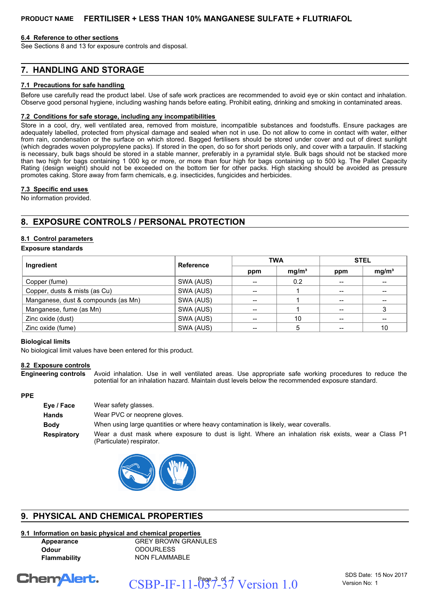#### **6.4 Reference to other sections**

See Sections 8 and 13 for exposure controls and disposal.

## **7. HANDLING AND STORAGE**

#### **7.1 Precautions for safe handling**

Before use carefully read the product label. Use of safe work practices are recommended to avoid eye or skin contact and inhalation. Observe good personal hygiene, including washing hands before eating. Prohibit eating, drinking and smoking in contaminated areas.

#### **7.2 Conditions for safe storage, including any incompatibilities**

Store in a cool, dry, well ventilated area, removed from moisture, incompatible substances and foodstuffs. Ensure packages are adequately labelled, protected from physical damage and sealed when not in use. Do not allow to come in contact with water, either from rain, condensation or the surface on which stored. Bagged fertilisers should be stored under cover and out of direct sunlight (which degrades woven polypropylene packs). If stored in the open, do so for short periods only, and cover with a tarpaulin. If stacking is necessary, bulk bags should be stored in a stable manner, preferably in a pyramidal style. Bulk bags should not be stacked more than two high for bags containing 1 000 kg or more, or more than four high for bags containing up to 500 kg. The Pallet Capacity Rating (design weight) should not be exceeded on the bottom tier for other packs. High stacking should be avoided as pressure promotes caking. Store away from farm chemicals, e.g. insecticides, fungicides and herbicides.

#### **7.3 Specific end uses**

No information provided.

## **8. EXPOSURE CONTROLS / PERSONAL PROTECTION**

#### **8.1 Control parameters**

#### **Exposure standards**

| Ingredient                          | Reference | <b>TWA</b> |                   | <b>STEL</b> |                   |
|-------------------------------------|-----------|------------|-------------------|-------------|-------------------|
|                                     |           | ppm        | mg/m <sup>3</sup> | ppm         | mg/m <sup>3</sup> |
| Copper (fume)                       | SWA (AUS) |            | 0.2               |             |                   |
| Copper, dusts & mists (as Cu)       | SWA (AUS) | $- -$      |                   | $- -$       | --                |
| Manganese, dust & compounds (as Mn) | SWA (AUS) |            |                   |             |                   |
| Manganese, fume (as Mn)             | SWA (AUS) |            |                   |             |                   |
| Zinc oxide (dust)                   | SWA (AUS) |            | 10                |             |                   |
| Zinc oxide (fume)                   | SWA (AUS) | --         | 5                 |             | 10                |

#### **Biological limits**

No biological limit values have been entered for this product.

#### **8.2 Exposure controls**

Avoid inhalation. Use in well ventilated areas. Use appropriate safe working procedures to reduce the potential for an inhalation hazard. Maintain dust levels below the recommended exposure standard. **Engineering controls**

#### **PPE**

| Eye / Face         | Wear safety glasses.                                                                                                            |
|--------------------|---------------------------------------------------------------------------------------------------------------------------------|
| <b>Hands</b>       | Wear PVC or neoprene gloves.                                                                                                    |
| <b>Body</b>        | When using large quantities or where heavy contamination is likely, wear coveralls.                                             |
| <b>Respiratory</b> | Wear a dust mask where exposure to dust is light. Where an inhalation risk exists, wear a Class P1<br>(Particulate) respirator. |



## **9. PHYSICAL AND CHEMICAL PROPERTIES**

#### **9.1 Information on basic physical and chemical properties**

**Appearance** GREY BROWN GRANULES **Odour** ODOURLESS **Flammability** NON FLAMMABLE

**ChemAlert.** 

 $CSBP-IF-11-037-37$  Version 1.0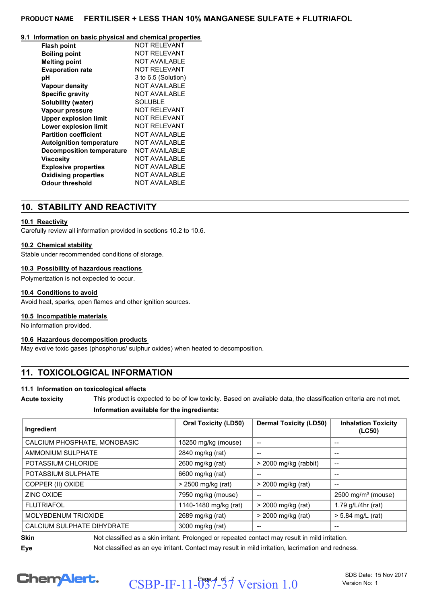#### **9.1 Information on basic physical and chemical properties**

| <b>Flash point</b>               | <b>NOT RELEVANT</b>  |
|----------------------------------|----------------------|
| <b>Boiling point</b>             | NOT RFI FVANT        |
| <b>Melting point</b>             | <b>NOT AVAILABLE</b> |
| <b>Evaporation rate</b>          | <b>NOT RELEVANT</b>  |
| рH                               | 3 to 6.5 (Solution)  |
| <b>Vapour density</b>            | NOT AVAII ARI F      |
| <b>Specific gravity</b>          | <b>NOT AVAILABLE</b> |
| Solubility (water)               | SOLUBLE              |
| Vapour pressure                  | NOT RFI FVANT        |
| <b>Upper explosion limit</b>     | <b>NOT RELEVANT</b>  |
| Lower explosion limit            | NOT RFI FVANT        |
| <b>Partition coefficient</b>     | NOT AVAII ABI F      |
| <b>Autoignition temperature</b>  | NOT AVAII ARI F      |
| <b>Decomposition temperature</b> | NOT AVAII ARI F      |
| Viscosity                        | NOT AVAII ARI F      |
| <b>Explosive properties</b>      | <b>NOT AVAILABLE</b> |
| <b>Oxidising properties</b>      | NOT AVAII ARI F      |
| Odour threshold                  | NOT AVAILABLE        |

## **10. STABILITY AND REACTIVITY**

#### **10.1 Reactivity**

Carefully review all information provided in sections 10.2 to 10.6.

#### **10.2 Chemical stability**

Stable under recommended conditions of storage.

#### **10.3 Possibility of hazardous reactions**

Polymerization is not expected to occur.

#### **10.4 Conditions to avoid**

Avoid heat, sparks, open flames and other ignition sources.

#### **10.5 Incompatible materials**

No information provided.

#### **10.6 Hazardous decomposition products**

May evolve toxic gases (phosphorus/ sulphur oxides) when heated to decomposition.

## **11. TOXICOLOGICAL INFORMATION**

#### **11.1 Information on toxicological effects**

**Acute toxicity** This product is expected to be of low toxicity. Based on available data, the classification criteria are not met.

#### **Information available for the ingredients:**

| Ingredient                   | <b>Oral Toxicity (LD50)</b> | <b>Dermal Toxicity (LD50)</b>         | <b>Inhalation Toxicity</b><br>(LC50)              |
|------------------------------|-----------------------------|---------------------------------------|---------------------------------------------------|
| CALCIUM PHOSPHATE, MONOBASIC | 15250 mg/kg (mouse)         | --                                    | --                                                |
| AMMONIUM SULPHATE            | 2840 mg/kg (rat)            | $\hspace{0.05cm}$ – $\hspace{0.05cm}$ | --                                                |
| POTASSIUM CHLORIDE           | 2600 mg/kg (rat)            | $>$ 2000 mg/kg (rabbit)               | $\hspace{0.05cm}-\hspace{0.05cm}-\hspace{0.05cm}$ |
| POTASSIUM SULPHATE           | 6600 mg/kg (rat)            | --                                    | --                                                |
| COPPER (II) OXIDE            | > 2500 mg/kg (rat)          | > 2000 mg/kg (rat)                    | $- -$                                             |
| ZINC OXIDE                   | 7950 mg/kg (mouse)          |                                       | $2500 \text{ mg/m}^3$ (mouse)                     |
| <b>FLUTRIAFOL</b>            | 1140-1480 mg/kg (rat)       | > 2000 mg/kg (rat)                    | 1.79 $g/L/4$ hr (rat)                             |
| <b>MOLYBDENUM TRIOXIDE</b>   | 2689 mg/kg (rat)            | > 2000 mg/kg (rat)                    | $> 5.84$ mg/L (rat)                               |
| CALCIUM SULPHATE DIHYDRATE   | 3000 mg/kg (rat)            | --                                    | $- -$                                             |

**Skin** Not classified as a skin irritant. Prolonged or repeated contact may result in mild irritation. **Eye** Not classified as an eye irritant. Contact may result in mild irritation, lacrimation and redness.

**ChemAlert.** 

 $CSBP-IF-11-037-37$  Version 1.0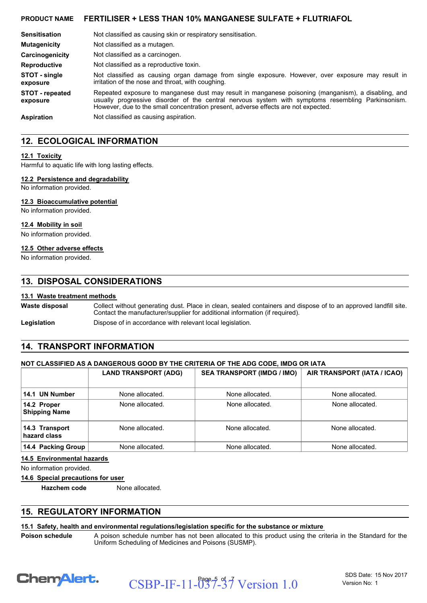| <b>Sensitisation</b>               | Not classified as causing skin or respiratory sensitisation.                                                                                                                                                                                                                                   |
|------------------------------------|------------------------------------------------------------------------------------------------------------------------------------------------------------------------------------------------------------------------------------------------------------------------------------------------|
| <b>Mutagenicity</b>                | Not classified as a mutagen.                                                                                                                                                                                                                                                                   |
| Carcinogenicity                    | Not classified as a carcinogen.                                                                                                                                                                                                                                                                |
| <b>Reproductive</b>                | Not classified as a reproductive toxin.                                                                                                                                                                                                                                                        |
| STOT - single<br>exposure          | Not classified as causing organ damage from single exposure. However, over exposure may result in<br>irritation of the nose and throat, with coughing.                                                                                                                                         |
| <b>STOT</b> - repeated<br>exposure | Repeated exposure to manganese dust may result in manganese poisoning (manganism), a disabling, and<br>usually progressive disorder of the central nervous system with symptoms resembling Parkinsonism.<br>However, due to the small concentration present, adverse effects are not expected. |
| <b>Aspiration</b>                  | Not classified as causing aspiration.                                                                                                                                                                                                                                                          |

## **12. ECOLOGICAL INFORMATION**

#### **12.1 Toxicity**

Harmful to aquatic life with long lasting effects.

#### **12.2 Persistence and degradability**

No information provided.

#### **12.3 Bioaccumulative potential**

No information provided.

#### **12.4 Mobility in soil**

No information provided.

## **12.5 Other adverse effects**

No information provided.

## **13. DISPOSAL CONSIDERATIONS**

#### **13.1 Waste treatment methods**

Collect without generating dust. Place in clean, sealed containers and dispose of to an approved landfill site. Contact the manufacturer/supplier for additional information (if required). **Waste disposal**

Legislation **Dispose of in accordance with relevant local legislation.** 

## **14. TRANSPORT INFORMATION**

#### **NOT CLASSIFIED AS A DANGEROUS GOOD BY THE CRITERIA OF THE ADG CODE, IMDG OR IATA**

|                                     | <b>LAND TRANSPORT (ADG)</b> | <b>SEA TRANSPORT (IMDG / IMO)</b> | AIR TRANSPORT (IATA / ICAO) |
|-------------------------------------|-----------------------------|-----------------------------------|-----------------------------|
| 14.1 UN Number                      | None allocated.             | None allocated.                   | None allocated.             |
| 14.2 Proper<br><b>Shipping Name</b> | None allocated.             | None allocated.                   | None allocated.             |
| 14.3 Transport<br>hazard class      | None allocated.             | None allocated.                   | None allocated.             |
| 14.4 Packing Group                  | None allocated.             | None allocated.                   | None allocated.             |

#### **14.5 Environmental hazards**

No information provided.

#### **14.6 Special precautions for user**

**Hazchem code** None allocated.

## **15. REGULATORY INFORMATION**

#### **15.1 Safety, health and environmental regulations/legislation specific for the substance or mixture**

A poison schedule number has not been allocated to this product using the criteria in the Standard for the Uniform Scheduling of Medicines and Poisons (SUSMP).



**Poison schedule**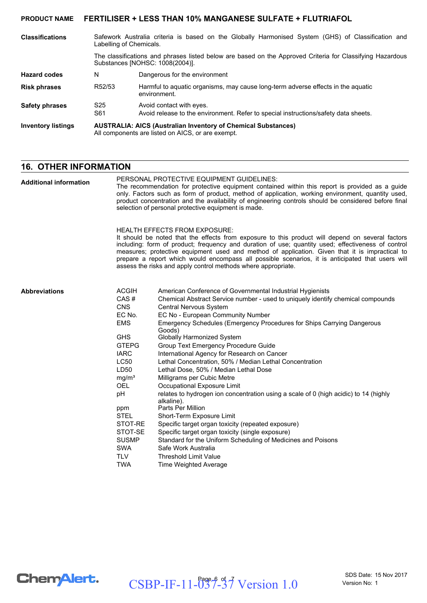| <b>Classifications</b>    | Labelling of Chemicals.                                                                                                                      | Safework Australia criteria is based on the Globally Harmonised System (GHS) of Classification and              |  |
|---------------------------|----------------------------------------------------------------------------------------------------------------------------------------------|-----------------------------------------------------------------------------------------------------------------|--|
|                           | The classifications and phrases listed below are based on the Approved Criteria for Classifying Hazardous<br>Substances [NOHSC: 1008(2004)]. |                                                                                                                 |  |
| <b>Hazard codes</b>       | N                                                                                                                                            | Dangerous for the environment                                                                                   |  |
| <b>Risk phrases</b>       | R52/53                                                                                                                                       | Harmful to aquatic organisms, may cause long-term adverse effects in the aquatic<br>environment.                |  |
| <b>Safety phrases</b>     | S <sub>25</sub><br>S61                                                                                                                       | Avoid contact with eyes.<br>Avoid release to the environment. Refer to special instructions/safety data sheets. |  |
| <b>Inventory listings</b> | <b>AUSTRALIA: AICS (Australian Inventory of Chemical Substances)</b><br>All components are listed on AICS, or are exempt.                    |                                                                                                                 |  |

## **16. OTHER INFORMATION**

| <b>Additional information</b> | PERSONAL PROTECTIVE EQUIPMENT GUIDELINES:<br>The recommendation for protective equipment contained within this report is provided as a guide<br>only. Factors such as form of product, method of application, working environment, quantity used,<br>product concentration and the availability of engineering controls should be considered before final<br>selection of personal protective equipment is made. |                                                                                                                                                                                                                                                                                                                                                                                                                                                                                                                       |  |  |
|-------------------------------|------------------------------------------------------------------------------------------------------------------------------------------------------------------------------------------------------------------------------------------------------------------------------------------------------------------------------------------------------------------------------------------------------------------|-----------------------------------------------------------------------------------------------------------------------------------------------------------------------------------------------------------------------------------------------------------------------------------------------------------------------------------------------------------------------------------------------------------------------------------------------------------------------------------------------------------------------|--|--|
|                               |                                                                                                                                                                                                                                                                                                                                                                                                                  | <b>HEALTH EFFECTS FROM EXPOSURE:</b><br>It should be noted that the effects from exposure to this product will depend on several factors<br>including: form of product; frequency and duration of use; quantity used; effectiveness of control<br>measures; protective equipment used and method of application. Given that it is impractical to<br>prepare a report which would encompass all possible scenarios, it is anticipated that users will<br>assess the risks and apply control methods where appropriate. |  |  |
| <b>Abbreviations</b>          | <b>ACGIH</b><br>CAS#<br><b>CNS</b><br>EC No.<br><b>EMS</b>                                                                                                                                                                                                                                                                                                                                                       | American Conference of Governmental Industrial Hygienists<br>Chemical Abstract Service number - used to uniquely identify chemical compounds<br><b>Central Nervous System</b><br>EC No - European Community Number<br>Emergency Schedules (Emergency Procedures for Ships Carrying Dangerous                                                                                                                                                                                                                          |  |  |
|                               | <b>GHS</b><br><b>GTEPG</b><br><b>IARC</b><br><b>LC50</b><br>LD50<br>mg/m <sup>3</sup><br><b>OEL</b>                                                                                                                                                                                                                                                                                                              | Goods)<br>Globally Harmonized System<br>Group Text Emergency Procedure Guide<br>International Agency for Research on Cancer<br>Lethal Concentration, 50% / Median Lethal Concentration<br>Lethal Dose, 50% / Median Lethal Dose<br>Milligrams per Cubic Metre<br>Occupational Exposure Limit                                                                                                                                                                                                                          |  |  |
|                               | рH<br>ppm<br><b>STEL</b><br>STOT-RE<br>STOT-SE<br><b>SUSMP</b><br><b>SWA</b><br><b>TLV</b><br><b>TWA</b>                                                                                                                                                                                                                                                                                                         | relates to hydrogen ion concentration using a scale of 0 (high acidic) to 14 (highly<br>alkaline).<br>Parts Per Million<br>Short-Term Exposure Limit<br>Specific target organ toxicity (repeated exposure)<br>Specific target organ toxicity (single exposure)<br>Standard for the Uniform Scheduling of Medicines and Poisons<br>Safe Work Australia<br><b>Threshold Limit Value</b><br>Time Weighted Average                                                                                                        |  |  |